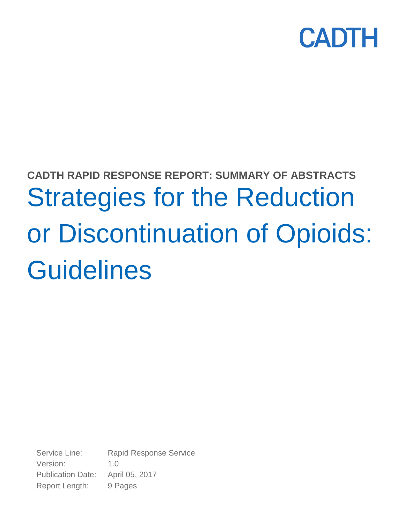

# **CADTH RAPID RESPONSE REPORT: SUMMARY OF ABSTRACTS** Strategies for the Reduction or Discontinuation of Opioids: **Guidelines**

Service Line: Rapid Response Service Version: 1.0 Publication Date: April 05, 2017 Report Length: 9 Pages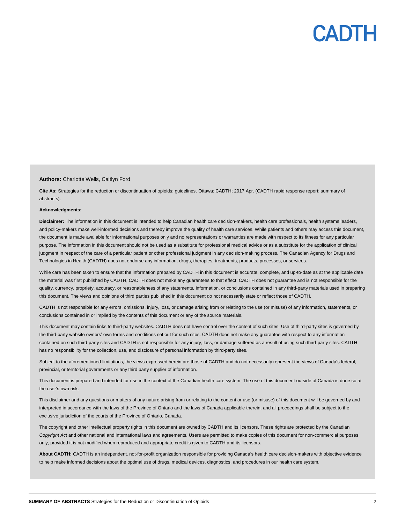### **CADTI**

#### **Authors:** Charlotte Wells, Caitlyn Ford

**Cite As:** Strategies for the reduction or discontinuation of opioids: guidelines. Ottawa: CADTH; 2017 Apr. (CADTH rapid response report: summary of abstracts).

#### **Acknowledgments:**

**Disclaimer:** The information in this document is intended to help Canadian health care decision-makers, health care professionals, health systems leaders, and policy-makers make well-informed decisions and thereby improve the quality of health care services. While patients and others may access this document, the document is made available for informational purposes only and no representations or warranties are made with respect to its fitness for any particular purpose. The information in this document should not be used as a substitute for professional medical advice or as a substitute for the application of clinical judgment in respect of the care of a particular patient or other professional judgment in any decision-making process. The Canadian Agency for Drugs and Technologies in Health (CADTH) does not endorse any information, drugs, therapies, treatments, products, processes, or services.

While care has been taken to ensure that the information prepared by CADTH in this document is accurate, complete, and up-to-date as at the applicable date the material was first published by CADTH, CADTH does not make any guarantees to that effect. CADTH does not guarantee and is not responsible for the quality, currency, propriety, accuracy, or reasonableness of any statements, information, or conclusions contained in any third-party materials used in preparing this document. The views and opinions of third parties published in this document do not necessarily state or reflect those of CADTH.

CADTH is not responsible for any errors, omissions, injury, loss, or damage arising from or relating to the use (or misuse) of any information, statements, or conclusions contained in or implied by the contents of this document or any of the source materials.

This document may contain links to third-party websites. CADTH does not have control over the content of such sites. Use of third-party sites is governed by the third-party website owners' own terms and conditions set out for such sites. CADTH does not make any guarantee with respect to any information contained on such third-party sites and CADTH is not responsible for any injury, loss, or damage suffered as a result of using such third-party sites. CADTH has no responsibility for the collection, use, and disclosure of personal information by third-party sites.

Subject to the aforementioned limitations, the views expressed herein are those of CADTH and do not necessarily represent the views of Canada's federal, provincial, or territorial governments or any third party supplier of information.

This document is prepared and intended for use in the context of the Canadian health care system. The use of this document outside of Canada is done so at the user's own risk.

This disclaimer and any questions or matters of any nature arising from or relating to the content or use (or misuse) of this document will be governed by and interpreted in accordance with the laws of the Province of Ontario and the laws of Canada applicable therein, and all proceedings shall be subject to the exclusive jurisdiction of the courts of the Province of Ontario, Canada.

The copyright and other intellectual property rights in this document are owned by CADTH and its licensors. These rights are protected by the Canadian *Copyright Act* and other national and international laws and agreements. Users are permitted to make copies of this document for non-commercial purposes only, provided it is not modified when reproduced and appropriate credit is given to CADTH and its licensors.

**About CADTH:** CADTH is an independent, not-for-profit organization responsible for providing Canada's health care decision-makers with objective evidence to help make informed decisions about the optimal use of drugs, medical devices, diagnostics, and procedures in our health care system.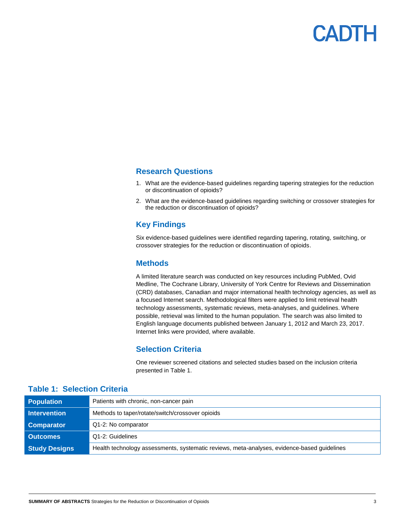

### **Research Questions**

- 1. What are the evidence-based guidelines regarding tapering strategies for the reduction or discontinuation of opioids?
- 2. What are the evidence-based guidelines regarding switching or crossover strategies for the reduction or discontinuation of opioids?

### **Key Findings**

Six evidence-based guidelines were identified regarding tapering, rotating, switching, or crossover strategies for the reduction or discontinuation of opioids.

### **Methods**

A limited literature search was conducted on key resources including PubMed, Ovid Medline, The Cochrane Library, University of York Centre for Reviews and Dissemination (CRD) databases, Canadian and major international health technology agencies, as well as a focused Internet search. Methodological filters were applied to limit retrieval health technology assessments, systematic reviews, meta-analyses, and guidelines. Where possible, retrieval was limited to the human population. The search was also limited to English language documents published between January 1, 2012 and March 23, 2017. Internet links were provided, where available.

### **Selection Criteria**

One reviewer screened citations and selected studies based on the inclusion criteria presented in Table 1.

| <b>Population</b>    | Patients with chronic, non-cancer pain                                                      |
|----------------------|---------------------------------------------------------------------------------------------|
| <b>Intervention</b>  | Methods to taper/rotate/switch/crossover opioids                                            |
| <b>Comparator</b>    | Q1-2: No comparator                                                                         |
| <b>Outcomes</b>      | Q1-2: Guidelines                                                                            |
| <b>Study Designs</b> | Health technology assessments, systematic reviews, meta-analyses, evidence-based guidelines |

### **Table 1: Selection Criteria**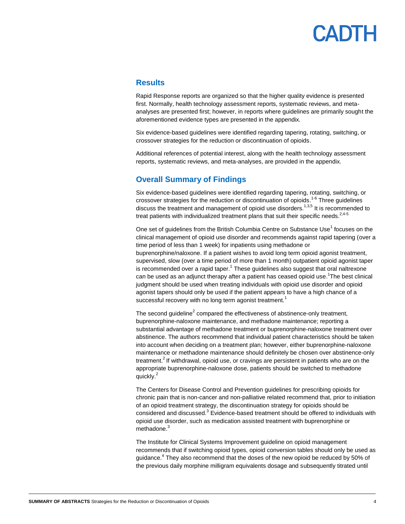## PADTH

### **Results**

Rapid Response reports are organized so that the higher quality evidence is presented first. Normally, health technology assessment reports, systematic reviews, and metaanalyses are presented first; however, in reports where guidelines are primarily sought the aforementioned evidence types are presented in the appendix.

Six evidence-based guidelines were identified regarding tapering, rotating, switching, or crossover strategies for the reduction or discontinuation of opioids.

Additional references of potential interest, along with the health technology assessment reports, systematic reviews, and meta-analyses, are provided in the appendix.

### **Overall Summary of Findings**

Six evidence-based guidelines were identified regarding tapering, rotating, switching, or crossover strategies for the reduction or discontinuation of opioids.<sup>1-6</sup> Three guidelines discuss the treatment and management of opioid use disorders.<sup>1,3,5</sup> It is recommended to treat patients with individualized treatment plans that suit their specific needs. $2,4-5$ 

One set of guidelines from the British Columbia Centre on Substance Use<sup>1</sup> focuses on the clinical management of opioid use disorder and recommends against rapid tapering (over a time period of less than 1 week) for inpatients using methadone or buprenorphine/naloxone. If a patient wishes to avoid long term opioid agonist treatment, supervised, slow (over a time period of more than 1 month) outpatient opioid agonist taper is recommended over a rapid taper.<sup>1</sup> These guidelines also suggest that oral naltrexone can be used as an adjunct therapy after a patient has ceased opioid use.<sup>1</sup>The best clinical judgment should be used when treating individuals with opioid use disorder and opioid agonist tapers should only be used if the patient appears to have a high chance of a successful recovery with no long term agonist treatment.<sup>1</sup>

The second guideline<sup>2</sup> compared the effectiveness of abstinence-only treatment, buprenorphine-naloxone maintenance, and methadone maintenance; reporting a substantial advantage of methadone treatment or buprenorphine-naloxone treatment over abstinence. The authors recommend that individual patient characteristics should be taken into account when deciding on a treatment plan; however, either buprenorphine-naloxone maintenance or methadone maintenance should definitely be chosen over abstinence-only treatment.<sup>2</sup> If withdrawal, opioid use, or cravings are persistent in patients who are on the appropriate buprenorphine-naloxone dose, patients should be switched to methadone quickly.<sup>2</sup>

The Centers for Disease Control and Prevention guidelines for prescribing opioids for chronic pain that is non-cancer and non-palliative related recommend that, prior to initiation of an opioid treatment strategy, the discontinuation strategy for opioids should be considered and discussed.<sup>3</sup> Evidence-based treatment should be offered to individuals with opioid use disorder, such as medication assisted treatment with buprenorphine or methadone.<sup>3</sup>

The Institute for Clinical Systems Improvement guideline on opioid management recommends that if switching opioid types, opioid conversion tables should only be used as guidance.<sup>4</sup> They also recommend that the doses of the new opioid be reduced by 50% of the previous daily morphine milligram equivalents dosage and subsequently titrated until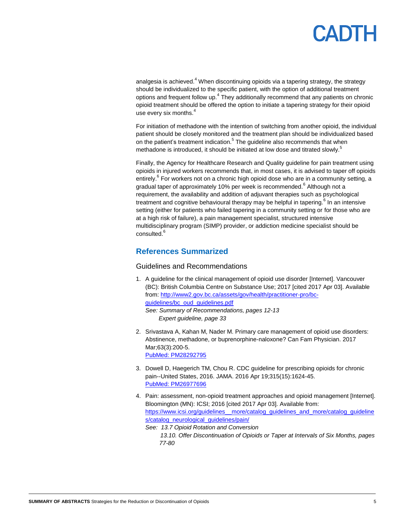analgesia is achieved. $4$  When discontinuing opioids via a tapering strategy, the strategy should be individualized to the specific patient, with the option of additional treatment options and frequent follow up.<sup>4</sup> They additionally recommend that any patients on chronic opioid treatment should be offered the option to initiate a tapering strategy for their opioid use every six months.<sup>4</sup>

For initiation of methadone with the intention of switching from another opioid, the individual patient should be closely monitored and the treatment plan should be individualized based on the patient's treatment indication.<sup>5</sup> The guideline also recommends that when methadone is introduced, it should be initiated at low dose and titrated slowly.<sup>5</sup>

Finally, the Agency for Healthcare Research and Quality guideline for pain treatment using opioids in injured workers recommends that, in most cases, it is advised to taper off opioids entirely.<sup>6</sup> For workers not on a chronic high opioid dose who are in a community setting, a gradual taper of approximately 10% per week is recommended.<sup>6</sup> Although not a requirement, the availability and addition of adjuvant therapies such as psychological treatment and cognitive behavioural therapy may be helpful in tapering.<sup>6</sup> In an intensive setting (either for patients who failed tapering in a community setting or for those who are at a high risk of failure), a pain management specialist, structured intensive multidisciplinary program (SIMP) provider, or addiction medicine specialist should be consulted.<sup>6</sup>

### **References Summarized**

### Guidelines and Recommendations

- 1. A guideline for the clinical management of opioid use disorder [Internet]. Vancouver (BC): British Columbia Centre on Substance Use; 2017 [cited 2017 Apr 03]. Available from[: http://www2.gov.bc.ca/assets/gov/health/practitioner-pro/bc](http://www2.gov.bc.ca/assets/gov/health/practitioner-pro/bc-guidelines/bc_oud_guidelines.pdf)[guidelines/bc\\_oud\\_guidelines.pdf](http://www2.gov.bc.ca/assets/gov/health/practitioner-pro/bc-guidelines/bc_oud_guidelines.pdf) *See: Summary of Recommendations, pages 12-13 Expert guideline, page 33*
- 2. Srivastava A, Kahan M, Nader M. Primary care management of opioid use disorders: Abstinence, methadone, or buprenorphine-naloxone? Can Fam Physician. 2017 Mar;63(3):200-5. [PubMed: PM28292795](http://www.ncbi.nlm.nih.gov/pubmed/28292795)
- 3. Dowell D, Haegerich TM, Chou R. CDC guideline for prescribing opioids for chronic pain--United States, 2016. JAMA. 2016 Apr 19;315(15):1624-45. [PubMed: PM26977696](http://www.ncbi.nlm.nih.gov/pubmed/26977696)
- 4. Pain: assessment, non-opioid treatment approaches and opioid management [Internet]. Bloomington (MN): ICSI; 2016 [cited 2017 Apr 03]. Available from: https://www.icsi.org/guidelines\_more/catalog\_guidelines\_and\_more/catalog\_guideline [s/catalog\\_neurological\\_guidelines/pain/](https://www.icsi.org/guidelines__more/catalog_guidelines_and_more/catalog_guidelines/catalog_neurological_guidelines/pain/)
	- *See: 13.7 Opioid Rotation and Conversion 13.10. Offer Discontinuation of Opioids or Taper at Intervals of Six Months, pages 77-80*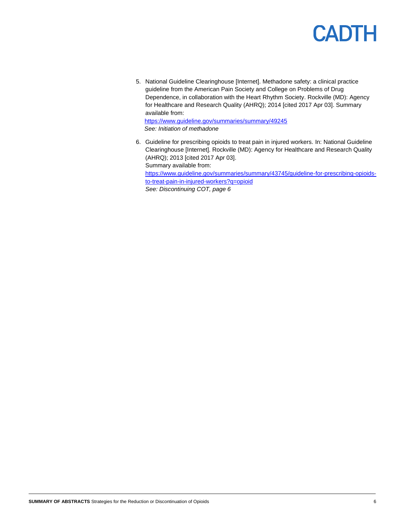### **CADTH**

5. National Guideline Clearinghouse [Internet]. Methadone safety: a clinical practice guideline from the American Pain Society and College on Problems of Drug Dependence, in collaboration with the Heart Rhythm Society. Rockville (MD): Agency for Healthcare and Research Quality (AHRQ); 2014 [cited 2017 Apr 03]. Summary available from: <https://www.guideline.gov/summaries/summary/49245>

*See: Initiation of methadone*

6. Guideline for prescribing opioids to treat pain in injured workers. In: National Guideline Clearinghouse [Internet]. Rockville (MD): Agency for Healthcare and Research Quality (AHRQ); 2013 [cited 2017 Apr 03]. Summary available from: [https://www.guideline.gov/summaries/summary/43745/guideline-for-prescribing-opioids](https://www.guideline.gov/summaries/summary/43745/guideline-for-prescribing-opioids-to-treat-pain-in-injured-workers?q=opioid)[to-treat-pain-in-injured-workers?q=opioid](https://www.guideline.gov/summaries/summary/43745/guideline-for-prescribing-opioids-to-treat-pain-in-injured-workers?q=opioid) *See: Discontinuing COT, page 6*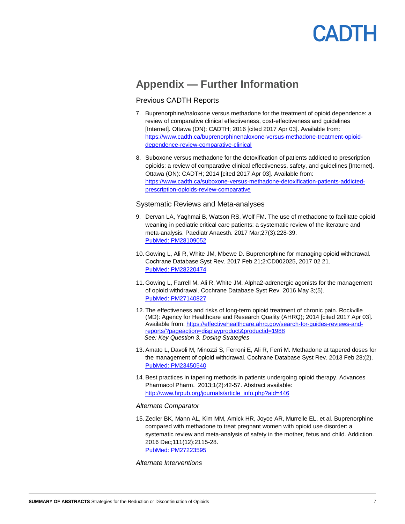### CADTH

### **Appendix — Further Information**

### Previous CADTH Reports

- 7. Buprenorphine/naloxone versus methadone for the treatment of opioid dependence: a review of comparative clinical effectiveness, cost-effectiveness and guidelines [Internet]. Ottawa (ON): CADTH; 2016 [cited 2017 Apr 03]. Available from: [https://www.cadth.ca/buprenorphinenaloxone-versus-methadone-treatment-opioid](https://www.cadth.ca/buprenorphinenaloxone-versus-methadone-treatment-opioid-dependence-review-comparative-clinical)[dependence-review-comparative-clinical](https://www.cadth.ca/buprenorphinenaloxone-versus-methadone-treatment-opioid-dependence-review-comparative-clinical)
- 8. Suboxone versus methadone for the detoxification of patients addicted to prescription opioids: a review of comparative clinical effectiveness, safety, and guidelines [Internet]. Ottawa (ON): CADTH; 2014 [cited 2017 Apr 03]. Available from: [https://www.cadth.ca/suboxone-versus-methadone-detoxification-patients-addicted](https://www.cadth.ca/suboxone-versus-methadone-detoxification-patients-addicted-prescription-opioids-review-comparative)[prescription-opioids-review-comparative](https://www.cadth.ca/suboxone-versus-methadone-detoxification-patients-addicted-prescription-opioids-review-comparative)

### Systematic Reviews and Meta-analyses

- 9. Dervan LA, Yaghmai B, Watson RS, Wolf FM. The use of methadone to facilitate opioid weaning in pediatric critical care patients: a systematic review of the literature and meta-analysis. Paediatr Anaesth. 2017 Mar;27(3):228-39. [PubMed: PM28109052](http://www.ncbi.nlm.nih.gov/pubmed/28109052)
- 10. Gowing L, Ali R, White JM, Mbewe D. Buprenorphine for managing opioid withdrawal. Cochrane Database Syst Rev. 2017 Feb 21;2:CD002025, 2017 02 21. [PubMed: PM28220474](http://www.ncbi.nlm.nih.gov/pubmed/28220474)
- 11. Gowing L, Farrell M, Ali R, White JM. Alpha2-adrenergic agonists for the management of opioid withdrawal. Cochrane Database Syst Rev. 2016 May 3;(5). [PubMed: PM27140827](http://www.ncbi.nlm.nih.gov/pubmed/27140827)
- 12. The effectiveness and risks of long-term opioid treatment of chronic pain. Rockville (MD): Agency for Healthcare and Research Quality (AHRQ); 2014 [cited 2017 Apr 03]. Available from: [https://effectivehealthcare.ahrq.gov/search-for-guides-reviews-and](https://effectivehealthcare.ahrq.gov/search-for-guides-reviews-and-reports/?pageaction=displayproduct&productid=1988)[reports/?pageaction=displayproduct&productid=1988](https://effectivehealthcare.ahrq.gov/search-for-guides-reviews-and-reports/?pageaction=displayproduct&productid=1988) *See: Key Question 3. Dosing Strategies*
- 13. Amato L, Davoli M, Minozzi S, Ferroni E, Ali R, Ferri M. Methadone at tapered doses for the management of opioid withdrawal. Cochrane Database Syst Rev. 2013 Feb 28;(2). [PubMed: PM23450540](http://www.ncbi.nlm.nih.gov/pubmed/23450540)
- 14. Best practices in tapering methods in patients undergoing opioid therapy. Advances Pharmacol Pharm. 2013;1(2):42-57. Abstract available: [http://www.hrpub.org/journals/article\\_info.php?aid=446](http://www.hrpub.org/journals/article_info.php?aid=446)

### *Alternate Comparator*

15. Zedler BK, Mann AL, Kim MM, Amick HR, Joyce AR, Murrelle EL, et al. Buprenorphine compared with methadone to treat pregnant women with opioid use disorder: a systematic review and meta-analysis of safety in the mother, fetus and child. Addiction. 2016 Dec;111(12):2115-28. [PubMed: PM27223595](http://www.ncbi.nlm.nih.gov/pubmed/27223595)

#### *Alternate Interventions*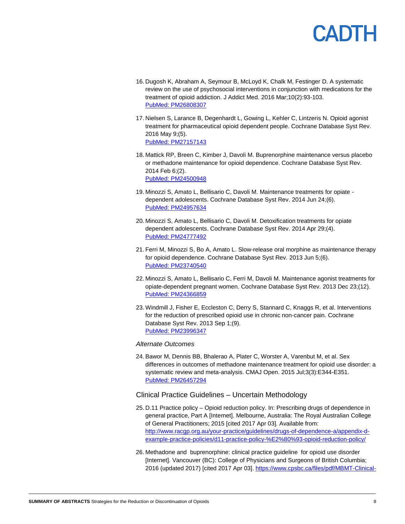### CADTH

- 16. Dugosh K, Abraham A, Seymour B, McLoyd K, Chalk M, Festinger D. A systematic review on the use of psychosocial interventions in conjunction with medications for the treatment of opioid addiction. J Addict Med. 2016 Mar;10(2):93-103. [PubMed: PM26808307](http://www.ncbi.nlm.nih.gov/pubmed/26808307)
- 17. Nielsen S, Larance B, Degenhardt L, Gowing L, Kehler C, Lintzeris N. Opioid agonist treatment for pharmaceutical opioid dependent people. Cochrane Database Syst Rev. 2016 May 9;(5). [PubMed: PM27157143](http://www.ncbi.nlm.nih.gov/pubmed/27157143)
- 18. Mattick RP, Breen C, Kimber J, Davoli M. Buprenorphine maintenance versus placebo or methadone maintenance for opioid dependence. Cochrane Database Syst Rev. 2014 Feb 6;(2). [PubMed: PM24500948](http://www.ncbi.nlm.nih.gov/pubmed/24500948)
- 19. Minozzi S, Amato L, Bellisario C, Davoli M. Maintenance treatments for opiate dependent adolescents. Cochrane Database Syst Rev. 2014 Jun 24;(6). [PubMed: PM24957634](http://www.ncbi.nlm.nih.gov/pubmed/24957634)
- 20. Minozzi S, Amato L, Bellisario C, Davoli M. Detoxification treatments for opiate dependent adolescents. Cochrane Database Syst Rev. 2014 Apr 29;(4). [PubMed: PM24777492](http://www.ncbi.nlm.nih.gov/pubmed/24777492)
- 21. Ferri M, Minozzi S, Bo A, Amato L. Slow-release oral morphine as maintenance therapy for opioid dependence. Cochrane Database Syst Rev. 2013 Jun 5;(6). [PubMed: PM23740540](http://www.ncbi.nlm.nih.gov/pubmed/23740540)
- 22. Minozzi S, Amato L, Bellisario C, Ferri M, Davoli M. Maintenance agonist treatments for opiate-dependent pregnant women. Cochrane Database Syst Rev. 2013 Dec 23;(12). [PubMed: PM24366859](http://www.ncbi.nlm.nih.gov/pubmed/24366859)
- 23. Windmill J, Fisher E, Eccleston C, Derry S, Stannard C, Knaggs R, et al. Interventions for the reduction of prescribed opioid use in chronic non-cancer pain. Cochrane Database Syst Rev. 2013 Sep 1;(9). [PubMed: PM23996347](http://www.ncbi.nlm.nih.gov/pubmed/23996347)

### *Alternate Outcomes*

24. Bawor M, Dennis BB, Bhalerao A, Plater C, Worster A, Varenbut M, et al. Sex differences in outcomes of methadone maintenance treatment for opioid use disorder: a systematic review and meta-analysis. CMAJ Open. 2015 Jul;3(3):E344-E351. [PubMed: PM26457294](http://www.ncbi.nlm.nih.gov/pubmed/26457294)

### Clinical Practice Guidelines – Uncertain Methodology

- 25. D.11 Practice policy Opioid reduction policy. In: Prescribing drugs of dependence in general practice, Part A [Internet]. Melbourne, Australia: The Royal Australian College of General Practitioners; 2015 [cited 2017 Apr 03]. Available from: [http://www.racgp.org.au/your-practice/guidelines/drugs-of-dependence-a/appendix-d](http://www.racgp.org.au/your-practice/guidelines/drugs-of-dependence-a/appendix-d-example-practice-policies/d11-practice-policy-%E2%80%93-opioid-reduction-policy/)[example-practice-policies/d11-practice-policy-%E2%80%93-opioid-reduction-policy/](http://www.racgp.org.au/your-practice/guidelines/drugs-of-dependence-a/appendix-d-example-practice-policies/d11-practice-policy-%E2%80%93-opioid-reduction-policy/)
- 26. Methadone and buprenorphine: clinical practice guideline for opioid use disorder [Internet]. Vancouver (BC): College of Physicians and Surgeons of British Columbia; 2016 (updated 2017) [cited 2017 Apr 03][. https://www.cpsbc.ca/files/pdf/MBMT-Clinical-](https://www.cpsbc.ca/files/pdf/MBMT-Clinical-Practice-Guideline.pdf)